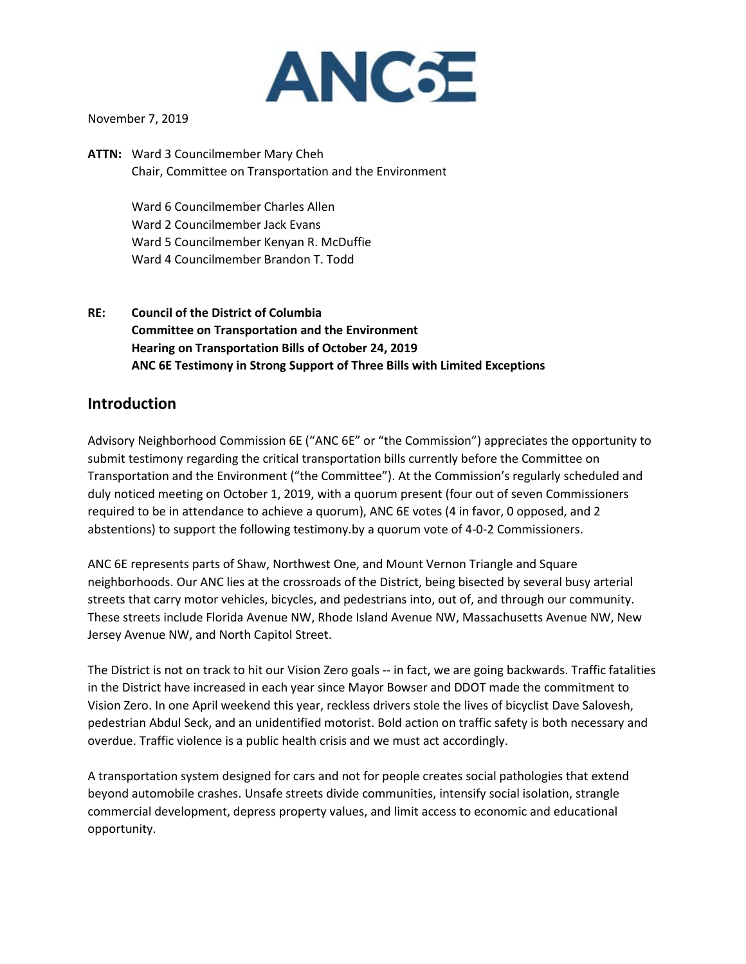

November 7, 2019

**ATTN:** Ward 3 Councilmember Mary Cheh Chair, Committee on Transportation and the Environment

> Ward 6 Councilmember Charles Allen Ward 2 Councilmember Jack Evans Ward 5 Councilmember Kenyan R. McDuffie Ward 4 Councilmember Brandon T. Todd

**RE: Council of the District of Columbia Committee on Transportation and the Environment Hearing on Transportation Bills of October 24, 2019 ANC 6E Testimony in Strong Support of Three Bills with Limited Exceptions**

## **Introduction**

Advisory Neighborhood Commission 6E ("ANC 6E" or "the Commission") appreciates the opportunity to submit testimony regarding the critical transportation bills currently before the Committee on Transportation and the Environment ("the Committee"). At the Commission's regularly scheduled and duly noticed meeting on October 1, 2019, with a quorum present (four out of seven Commissioners required to be in attendance to achieve a quorum), ANC 6E votes (4 in favor, 0 opposed, and 2 abstentions) to support the following testimony.by a quorum vote of 4-0-2 Commissioners.

ANC 6E represents parts of Shaw, Northwest One, and Mount Vernon Triangle and Square neighborhoods. Our ANC lies at the crossroads of the District, being bisected by several busy arterial streets that carry motor vehicles, bicycles, and pedestrians into, out of, and through our community. These streets include Florida Avenue NW, Rhode Island Avenue NW, Massachusetts Avenue NW, New Jersey Avenue NW, and North Capitol Street.

The District is not on track to hit our Vision Zero goals -- in fact, we are going backwards. Traffic fatalities in the District have increased in each year since Mayor Bowser and DDOT made the commitment to Vision Zero. In one April weekend this year, reckless drivers stole the lives of bicyclist Dave Salovesh, pedestrian Abdul Seck, and an unidentified motorist. Bold action on traffic safety is both necessary and overdue. Traffic violence is a public health crisis and we must act accordingly.

A transportation system designed for cars and not for people creates social pathologies that extend beyond automobile crashes. Unsafe streets divide communities, intensify social isolation, strangle commercial development, depress property values, and limit access to economic and educational opportunity.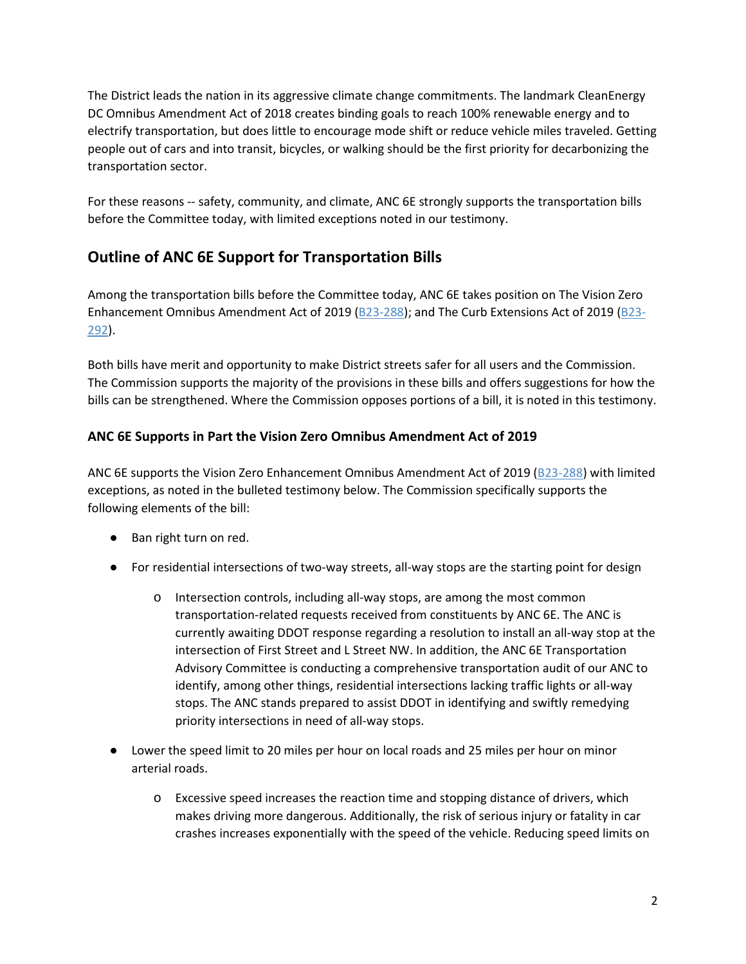The District leads the nation in its aggressive climate change commitments. The landmark CleanEnergy DC Omnibus Amendment Act of 2018 creates binding goals to reach 100% renewable energy and to electrify transportation, but does little to encourage mode shift or reduce vehicle miles traveled. Getting people out of cars and into transit, bicycles, or walking should be the first priority for decarbonizing the transportation sector.

For these reasons -- safety, community, and climate, ANC 6E strongly supports the transportation bills before the Committee today, with limited exceptions noted in our testimony.

# **Outline of ANC 6E Support for Transportation Bills**

Among the transportation bills before the Committee today, ANC 6E takes position on The Vision Zero Enhancement Omnibus Amendment Act of 2019 (B23-288); and The Curb Extensions Act of 2019 (B23-292).

Both bills have merit and opportunity to make District streets safer for all users and the Commission. The Commission supports the majority of the provisions in these bills and offers suggestions for how the bills can be strengthened. Where the Commission opposes portions of a bill, it is noted in this testimony.

## **ANC 6E Supports in Part the Vision Zero Omnibus Amendment Act of 2019**

ANC 6E supports the Vision Zero Enhancement Omnibus Amendment Act of 2019 [\(B23-288\)](http://lims.dccouncil.us/Legislation/B23-0288) with limited exceptions, as noted in the bulleted testimony below. The Commission specifically supports the following elements of the bill:

- Ban right turn on red.
- For residential intersections of two-way streets, all-way stops are the starting point for design
	- o Intersection controls, including all-way stops, are among the most common transportation-related requests received from constituents by ANC 6E. The ANC is currently awaiting DDOT response regarding a resolution to install an all-way stop at the intersection of First Street and L Street NW. In addition, the ANC 6E Transportation Advisory Committee is conducting a comprehensive transportation audit of our ANC to identify, among other things, residential intersections lacking traffic lights or all-way stops. The ANC stands prepared to assist DDOT in identifying and swiftly remedying priority intersections in need of all-way stops.
- Lower the speed limit to 20 miles per hour on local roads and 25 miles per hour on minor arterial roads.
	- o Excessive speed increases the reaction time and stopping distance of drivers, which makes driving more dangerous. Additionally, the risk of serious injury or fatality in car crashes increases exponentially with the speed of the vehicle. Reducing speed limits on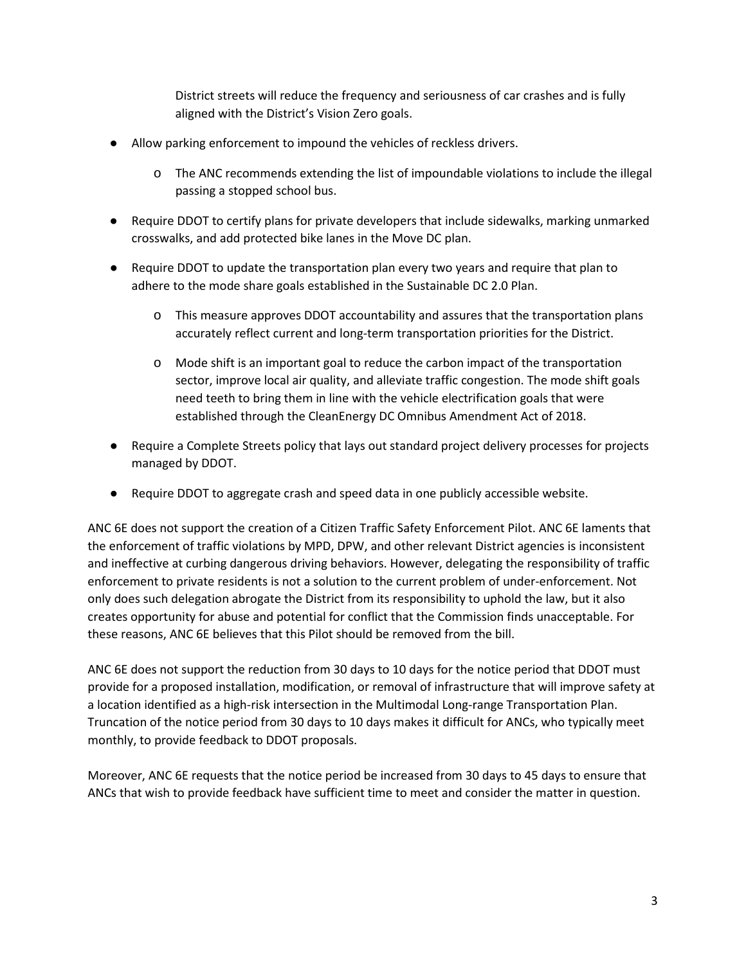District streets will reduce the frequency and seriousness of car crashes and is fully aligned with the District's Vision Zero goals.

- Allow parking enforcement to impound the vehicles of reckless drivers.
	- o The ANC recommends extending the list of impoundable violations to include the illegal passing a stopped school bus.
- Require DDOT to certify plans for private developers that include sidewalks, marking unmarked crosswalks, and add protected bike lanes in the Move DC plan.
- Require DDOT to update the transportation plan every two years and require that plan to adhere to the mode share goals established in the Sustainable DC 2.0 Plan.
	- o This measure approves DDOT accountability and assures that the transportation plans accurately reflect current and long-term transportation priorities for the District.
	- o Mode shift is an important goal to reduce the carbon impact of the transportation sector, improve local air quality, and alleviate traffic congestion. The mode shift goals need teeth to bring them in line with the vehicle electrification goals that were established through the CleanEnergy DC Omnibus Amendment Act of 2018.
- Require a Complete Streets policy that lays out standard project delivery processes for projects managed by DDOT.
- Require DDOT to aggregate crash and speed data in one publicly accessible website.

ANC 6E does not support the creation of a Citizen Traffic Safety Enforcement Pilot. ANC 6E laments that the enforcement of traffic violations by MPD, DPW, and other relevant District agencies is inconsistent and ineffective at curbing dangerous driving behaviors. However, delegating the responsibility of traffic enforcement to private residents is not a solution to the current problem of under-enforcement. Not only does such delegation abrogate the District from its responsibility to uphold the law, but it also creates opportunity for abuse and potential for conflict that the Commission finds unacceptable. For these reasons, ANC 6E believes that this Pilot should be removed from the bill.

ANC 6E does not support the reduction from 30 days to 10 days for the notice period that DDOT must provide for a proposed installation, modification, or removal of infrastructure that will improve safety at a location identified as a high-risk intersection in the Multimodal Long-range Transportation Plan. Truncation of the notice period from 30 days to 10 days makes it difficult for ANCs, who typically meet monthly, to provide feedback to DDOT proposals.

Moreover, ANC 6E requests that the notice period be increased from 30 days to 45 days to ensure that ANCs that wish to provide feedback have sufficient time to meet and consider the matter in question.